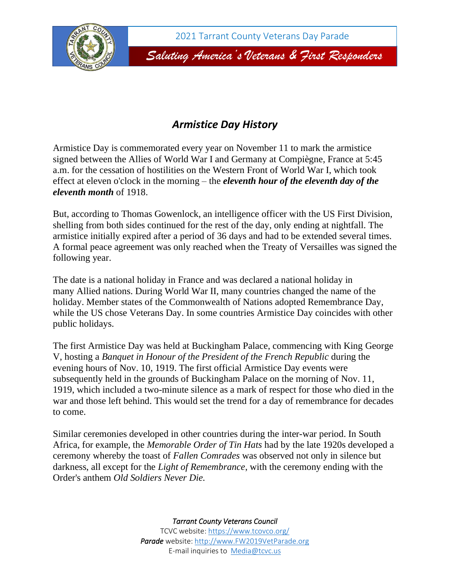

## *Armistice Day History*

Armistice Day is commemorated every year on November 11 to mark the armistice signed between the Allies of World War I and Germany at Compiègne, France at 5:45 a.m. for the cessation of hostilities on the Western Front of World War I, which took effect at eleven o'clock in the morning – the *eleventh hour of the eleventh day of the eleventh month* of 1918.

But, according to Thomas Gowenlock, an intelligence officer with the US First Division, shelling from both sides continued for the rest of the day, only ending at nightfall. The armistice initially expired after a period of 36 days and had to be extended several times. A formal peace agreement was only reached when the Treaty of Versailles was signed the following year.

The date is a national holiday in France and was declared a national holiday in many Allied nations. During World War II, many countries changed the name of the holiday. Member states of the Commonwealth of Nations adopted Remembrance Day, while the US chose Veterans Day. In some countries Armistice Day coincides with other public holidays.

The first Armistice Day was held at Buckingham Palace, commencing with King George V, hosting a *Banquet in Honour of the President of the French Republic* during the evening hours of Nov. 10, 1919. The first official Armistice Day events were subsequently held in the grounds of Buckingham Palace on the morning of Nov. 11, 1919, which included a two-minute silence as a mark of respect for those who died in the war and those left behind. This would set the trend for a day of remembrance for decades to come.

Similar ceremonies developed in other countries during the inter-war period. In South Africa, for example, the *Memorable Order of Tin Hats* had by the late 1920s developed a ceremony whereby the toast of *Fallen Comrades* was observed not only in silence but darkness, all except for the *Light of Remembrance*, with the ceremony ending with the Order's anthem *Old Soldiers Never Die.*

*Tarrant County Veterans Council*